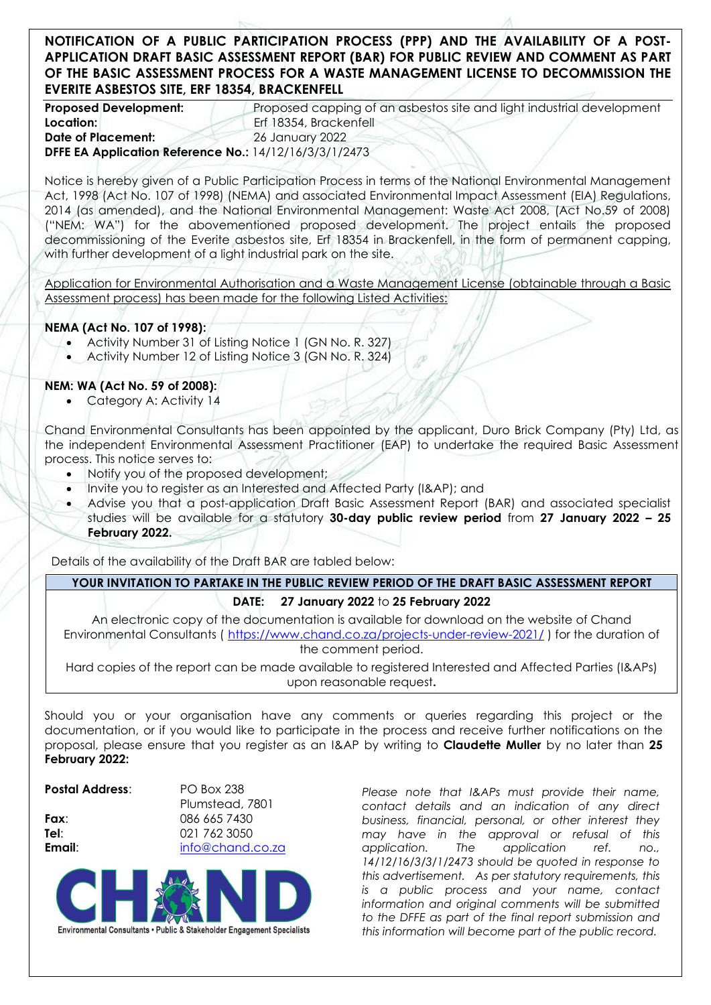## **NOTIFICATION OF A PUBLIC PARTICIPATION PROCESS (PPP) AND THE AVAILABILITY OF A POST-APPLICATION DRAFT BASIC ASSESSMENT REPORT (BAR) FOR PUBLIC REVIEW AND COMMENT AS PART OF THE BASIC ASSESSMENT PROCESS FOR A WASTE MANAGEMENT LICENSE TO DECOMMISSION THE EVERITE ASBESTOS SITE, ERF 18354, BRACKENFELL**

**Proposed Development:** Proposed capping of an asbestos site and light industrial development Location: **Excession: Excession: Excession: Excession: Excession: Excession: Excession: Excession: Excession: Excession: Excession: Excession: Excession: Excession: Excession: Excession: Exc Date of Placement:** 26 January 2022 **DFFE EA Application Reference No.:** 14/12/16/3/3/1/2473

Notice is hereby given of a Public Participation Process in terms of the National Environmental Management Act, 1998 (Act No. 107 of 1998) (NEMA) and associated Environmental Impact Assessment (EIA) Regulations, 2014 (as amended), and the National Environmental Management: Waste Act 2008, (Act No.59 of 2008) ("NEM: WA") for the abovementioned proposed development. The project entails the proposed decommissioning of the Everite asbestos site, Erf 18354 in Brackenfell, in the form of permanent capping, with further development of a light industrial park on the site.

Application for Environmental Authorisation and a Waste Management License (obtainable through a Basic Assessment process) has been made for the following Listed Activities:

### **NEMA (Act No. 107 of 1998):**

- Activity Number 31 of Listing Notice 1 (GN No. R. 327)
- Activity Number 12 of Listing Notice 3 (GN No. R. 324)

### **NEM: WA (Act No. 59 of 2008):**

Category A: Activity 14

Chand Environmental Consultants has been appointed by the applicant, Duro Brick Company (Pty) Ltd, as the independent Environmental Assessment Practitioner (EAP) to undertake the required Basic Assessment process. This notice serves to:

- Notify you of the proposed development;
- Invite you to register as an Interested and Affected Party (I&AP); and
- Advise you that a post-application Draft Basic Assessment Report (BAR) and associated specialist studies will be available for a statutory **30-day public review period** from **27 January 2022 – 25 February 2022.**

Details of the availability of the Draft BAR are tabled below:

# YOUR INVITATION TO PARTAKE IN THE PUBLIC REVIEW PERIOD OF THE DRAFT BASIC ASSESSMENT REPORT

### **DATE: 27 January 2022** to **25 February 2022**

An electronic copy of the documentation is available for download on the website of Chand Environmental Consultants ( <https://www.chand.co.za/projects-under-review-2021/> ) for the duration of the comment period.

Hard copies of the report can be made available to registered Interested and Affected Parties (I&APs) upon reasonable request**.**

Should you or your organisation have any comments or queries regarding this project or the documentation, or if you would like to participate in the process and receive further notifications on the proposal, please ensure that you register as an I&AP by writing to **Claudette Muller** by no later than **25 February 2022:**

#### **Postal Address**: PO Box 238

Plumstead, 7801 **Fax**: 086 665 7430 **Tel**: 021 762 3050 **Email**: [info@chand.co.za](mailto:info@chand.co.za)



*Please note that I&APs must provide their name, contact details and an indication of any direct business, financial, personal, or other interest they may have in the approval or refusal of this application. The application ref. no., 14/12/16/3/3/1/2473 should be quoted in response to this advertisement. As per statutory requirements, this is a public process and your name, contact information and original comments will be submitted to the DFFE as part of the final report submission and this information will become part of the public record.*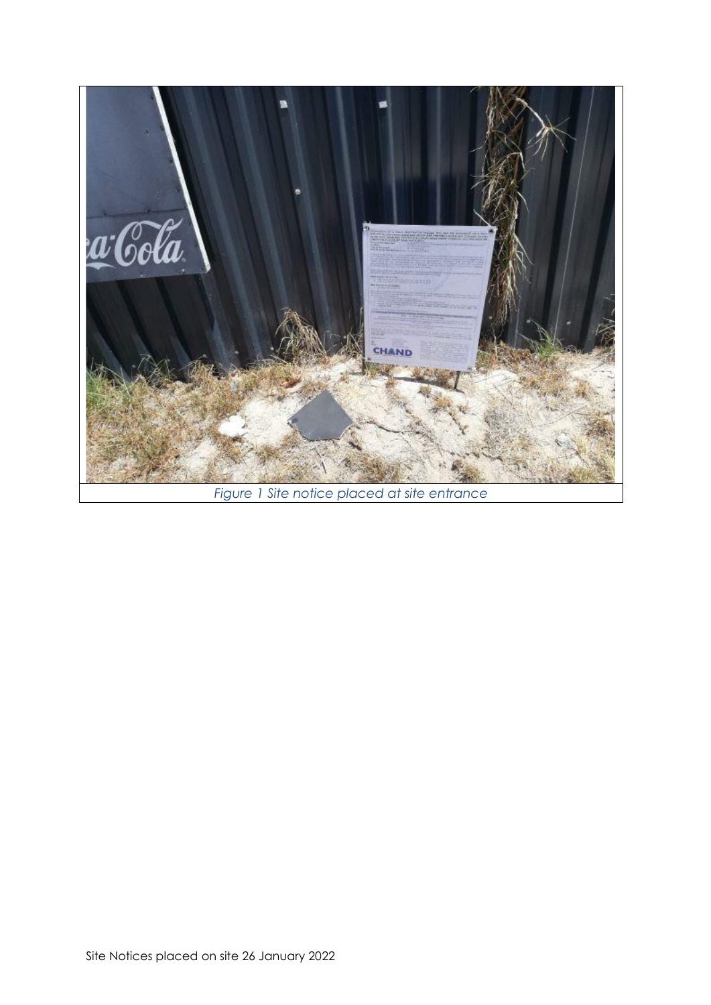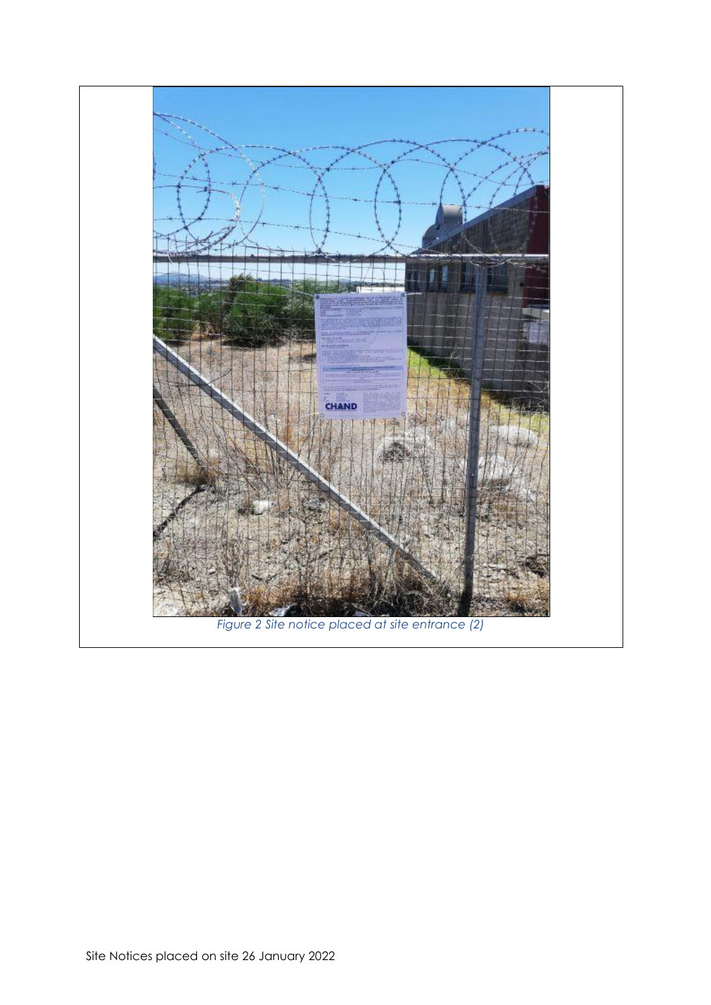